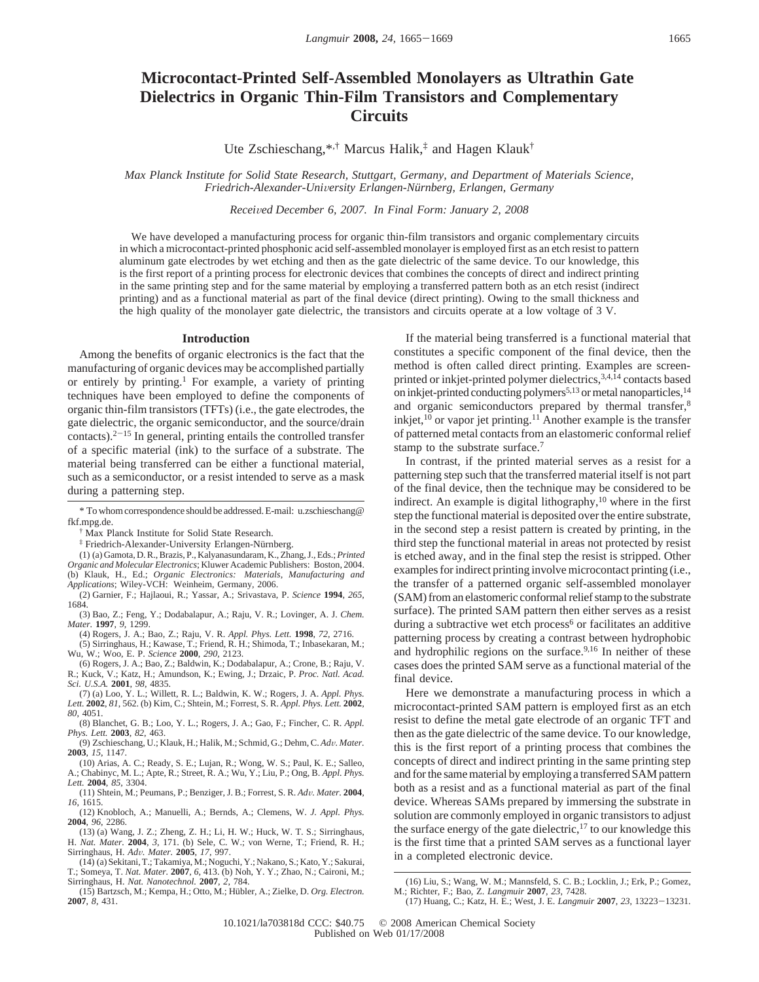# **Microcontact-Printed Self-Assembled Monolayers as Ultrathin Gate Dielectrics in Organic Thin-Film Transistors and Complementary Circuits**

Ute Zschieschang,\*,† Marcus Halik,‡ and Hagen Klauk†

*Max Planck Institute for Solid State Research, Stuttgart, Germany, and Department of Materials Science, Friedrich-Alexander-Uni*V*ersity Erlangen-Nu¨rnberg, Erlangen, Germany*

## *Recei*V*ed December 6, 2007. In Final Form: January 2, 2008*

We have developed a manufacturing process for organic thin-film transistors and organic complementary circuits in which a microcontact-printed phosphonic acid self-assembled monolayer is employed first as an etch resist to pattern aluminum gate electrodes by wet etching and then as the gate dielectric of the same device. To our knowledge, this is the first report of a printing process for electronic devices that combines the concepts of direct and indirect printing in the same printing step and for the same material by employing a transferred pattern both as an etch resist (indirect printing) and as a functional material as part of the final device (direct printing). Owing to the small thickness and the high quality of the monolayer gate dielectric, the transistors and circuits operate at a low voltage of 3 V.

#### **Introduction**

Among the benefits of organic electronics is the fact that the manufacturing of organic devices may be accomplished partially or entirely by printing.<sup>1</sup> For example, a variety of printing techniques have been employed to define the components of organic thin-film transistors (TFTs) (i.e., the gate electrodes, the gate dielectric, the organic semiconductor, and the source/drain contacts). $2^{-15}$  In general, printing entails the controlled transfer of a specific material (ink) to the surface of a substrate. The material being transferred can be either a functional material, such as a semiconductor, or a resist intended to serve as a mask during a patterning step.

\* To whom correspondence should be addressed. E-mail: u.zschieschang@ fkf.mpg.de.

† Max Planck Institute for Solid State Research.

 $*$  Friedrich-Alexander-University Erlangen-Nürnberg.

(1) (a) Gamota, D. R., Brazis, P., Kalyanasundaram, K., Zhang, J., Eds.;*Printed Organic and Molecular Electronics*; Kluwer Academic Publishers: Boston, 2004. (b) Klauk, H., Ed.; *Organic Electronics: Materials, Manufacturing and Applications*; Wiley-VCH: Weinheim, Germany, 2006.

(2) Garnier, F.; Hajlaoui, R.; Yassar, A.; Srivastava, P. *Science* **1994**, *265*, 1684.

(3) Bao, Z.; Feng, Y.; Dodabalapur, A.; Raju, V. R.; Lovinger, A. J. *Chem. Mater.* **1997**, *9*, 1299.

(4) Rogers, J. A.; Bao, Z.; Raju, V. R. *Appl. Phys. Lett.* **1998**, *72*, 2716. (5) Sirringhaus, H.; Kawase, T.; Friend, R. H.; Shimoda, T.; Inbasekaran, M.; Wu, W.; Woo, E. P. *Science* **2000**, *290*, 2123.

(6) Rogers, J. A.; Bao, Z.; Baldwin, K.; Dodabalapur, A.; Crone, B.; Raju, V. R.; Kuck, V.; Katz, H.; Amundson, K.; Ewing, J.; Drzaic, P. *Proc. Natl. Acad. Sci. U.S.A.* **2001**, *98*, 4835.

(7) (a) Loo, Y. L.; Willett, R. L.; Baldwin, K. W.; Rogers, J. A. *Appl. Phys. Lett.* **2002**, *81*, 562. (b) Kim, C.; Shtein, M.; Forrest, S. R. *Appl. Phys. Lett.* **2002**, *80*, 4051.

(8) Blanchet, G. B.; Loo, Y. L.; Rogers, J. A.; Gao, F.; Fincher, C. R. *Appl. Phys. Lett.* **2003**, *82*, 463.

(9) Zschieschang, U.; Klauk, H.; Halik, M.; Schmid, G.; Dehm, C. *Ad*V*. Mater.* **2003**, *15*, 1147.

(10) Arias, A. C.; Ready, S. E.; Lujan, R.; Wong, W. S.; Paul, K. E.; Salleo, A.; Chabinyc, M. L.; Apte, R.; Street, R. A.; Wu, Y.; Liu, P.; Ong, B. *Appl. Phys. Lett.* **2004**, *85*, 3304.

(11) Shtein, M.; Peumans, P.; Benziger, J. B.; Forrest, S. R. *Ad*V*. Mater.* **<sup>2004</sup>**, *16*, 1615.

(12) Knobloch, A.; Manuelli, A.; Bernds, A.; Clemens, W. *J. Appl. Phys.* **2004**, *96*, 2286.

(13) (a) Wang, J. Z.; Zheng, Z. H.; Li, H. W.; Huck, W. T. S.; Sirringhaus, H. *Nat. Mater.* **2004**, *3*, 171. (b) Sele, C. W.; von Werne, T.; Friend, R. H.;

Sirringhaus, H. *Adv. Mater.* **2005**, 17, 997.<br>
(14) (a) Sekitani, T.; Takamiya, M.; Noguchi, Y.; Nakano, S.; Kato, Y.; Sakurai, T.; Someya, T. *Nat. Mater.* **2007**, *6*, 413. (b) Noh, Y. Y.; Zhao, N.; Caironi, M.; Sirringhaus, H. *Nat. Nanotechnol.* **2007**, *2*, 784.

(15) Bartzsch, M.; Kempa, H.; Otto, M.; Hübler, A.; Zielke, D. Org. Electron. **2007**, *8*, 431.

If the material being transferred is a functional material that constitutes a specific component of the final device, then the method is often called direct printing. Examples are screenprinted or inkjet-printed polymer dielectrics,<sup>3,4,14</sup> contacts based on inkjet-printed conducting polymers<sup>5,13</sup> or metal nanoparticles,<sup>14</sup> and organic semiconductors prepared by thermal transfer,<sup>8</sup> inkjet,10 or vapor jet printing.11 Another example is the transfer of patterned metal contacts from an elastomeric conformal relief stamp to the substrate surface.<sup>7</sup>

In contrast, if the printed material serves as a resist for a patterning step such that the transferred material itself is not part of the final device, then the technique may be considered to be indirect. An example is digital lithography,<sup>10</sup> where in the first step the functional material is deposited over the entire substrate, in the second step a resist pattern is created by printing, in the third step the functional material in areas not protected by resist is etched away, and in the final step the resist is stripped. Other examples for indirect printing involve microcontact printing (i.e., the transfer of a patterned organic self-assembled monolayer (SAM) from an elastomeric conformal relief stamp to the substrate surface). The printed SAM pattern then either serves as a resist during a subtractive wet etch process<sup>6</sup> or facilitates an additive patterning process by creating a contrast between hydrophobic and hydrophilic regions on the surface.<sup>9,16</sup> In neither of these cases does the printed SAM serve as a functional material of the final device.

Here we demonstrate a manufacturing process in which a microcontact-printed SAM pattern is employed first as an etch resist to define the metal gate electrode of an organic TFT and then as the gate dielectric of the same device. To our knowledge, this is the first report of a printing process that combines the concepts of direct and indirect printing in the same printing step and for the same material by employing a transferred SAM pattern both as a resist and as a functional material as part of the final device. Whereas SAMs prepared by immersing the substrate in solution are commonly employed in organic transistors to adjust the surface energy of the gate dielectric,<sup>17</sup> to our knowledge this is the first time that a printed SAM serves as a functional layer in a completed electronic device.

<sup>(16)</sup> Liu, S.; Wang, W. M.; Mannsfeld, S. C. B.; Locklin, J.; Erk, P.; Gomez, M.; Richter, F.; Bao, Z. *Langmuir* **2007**, *23*, 7428.

<sup>(17)</sup> Huang, C.; Katz, H. E.; West, J. E. *Langmuir* **<sup>2007</sup>**, *<sup>23</sup>*, 13223-13231.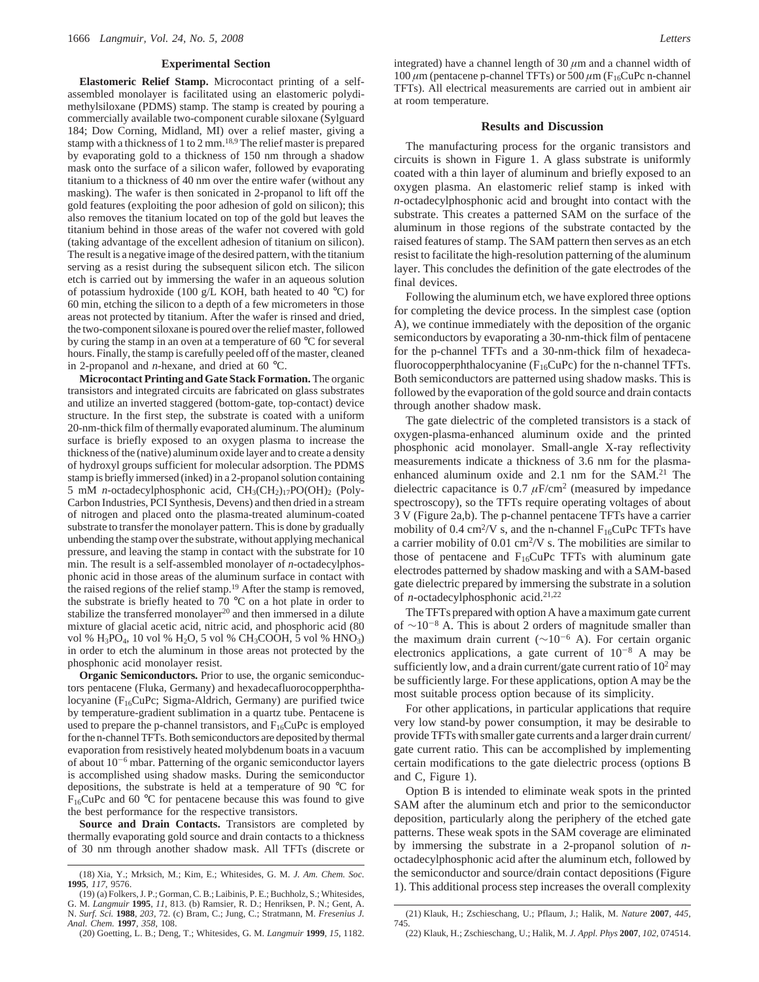#### **Experimental Section**

**Elastomeric Relief Stamp.** Microcontact printing of a selfassembled monolayer is facilitated using an elastomeric polydimethylsiloxane (PDMS) stamp. The stamp is created by pouring a commercially available two-component curable siloxane (Sylguard 184; Dow Corning, Midland, MI) over a relief master, giving a stamp with a thickness of 1 to 2 mm.<sup>18,9</sup> The relief master is prepared by evaporating gold to a thickness of 150 nm through a shadow mask onto the surface of a silicon wafer, followed by evaporating titanium to a thickness of 40 nm over the entire wafer (without any masking). The wafer is then sonicated in 2-propanol to lift off the gold features (exploiting the poor adhesion of gold on silicon); this also removes the titanium located on top of the gold but leaves the titanium behind in those areas of the wafer not covered with gold (taking advantage of the excellent adhesion of titanium on silicon). The result is a negative image of the desired pattern, with the titanium serving as a resist during the subsequent silicon etch. The silicon etch is carried out by immersing the wafer in an aqueous solution of potassium hydroxide (100 g/L KOH, bath heated to 40 °C) for 60 min, etching the silicon to a depth of a few micrometers in those areas not protected by titanium. After the wafer is rinsed and dried, the two-component siloxane is poured over the relief master, followed by curing the stamp in an oven at a temperature of 60 °C for several hours. Finally, the stamp is carefully peeled off of the master, cleaned in 2-propanol and *n*-hexane, and dried at 60 °C.

**Microcontact Printing and Gate Stack Formation.** The organic transistors and integrated circuits are fabricated on glass substrates and utilize an inverted staggered (bottom-gate, top-contact) device structure. In the first step, the substrate is coated with a uniform 20-nm-thick film of thermally evaporated aluminum. The aluminum surface is briefly exposed to an oxygen plasma to increase the thickness of the (native) aluminum oxide layer and to create a density of hydroxyl groups sufficient for molecular adsorption. The PDMS stamp is briefly immersed (inked) in a 2-propanol solution containing 5 mM *n*-octadecylphosphonic acid, CH<sub>3</sub>(CH<sub>2</sub>)<sub>17</sub>PO(OH)<sub>2</sub> (Poly-Carbon Industries, PCI Synthesis, Devens) and then dried in a stream of nitrogen and placed onto the plasma-treated aluminum-coated substrate to transfer the monolayer pattern. This is done by gradually unbending the stamp over the substrate, without applying mechanical pressure, and leaving the stamp in contact with the substrate for 10 min. The result is a self-assembled monolayer of *n*-octadecylphosphonic acid in those areas of the aluminum surface in contact with the raised regions of the relief stamp.<sup>19</sup> After the stamp is removed, the substrate is briefly heated to 70 °C on a hot plate in order to stabilize the transferred monolayer<sup>20</sup> and then immersed in a dilute mixture of glacial acetic acid, nitric acid, and phosphoric acid (80 vol % H<sub>3</sub>PO<sub>4</sub>, 10 vol % H<sub>2</sub>O, 5 vol % CH<sub>3</sub>COOH, 5 vol % HNO<sub>3</sub>) in order to etch the aluminum in those areas not protected by the phosphonic acid monolayer resist.

**Organic Semiconductors.** Prior to use, the organic semiconductors pentacene (Fluka, Germany) and hexadecafluorocopperphthalocyanine ( $F_{16}CuPc$ ; Sigma-Aldrich, Germany) are purified twice by temperature-gradient sublimation in a quartz tube. Pentacene is used to prepare the p-channel transistors, and  $F_{16}CuPc$  is employed for the n-channel TFTs. Both semiconductors are deposited by thermal evaporation from resistively heated molybdenum boats in a vacuum of about  $10^{-6}$  mbar. Patterning of the organic semiconductor layers is accomplished using shadow masks. During the semiconductor depositions, the substrate is held at a temperature of 90 °C for  $F_{16}$ CuPc and 60 °C for pentacene because this was found to give the best performance for the respective transistors.

**Source and Drain Contacts.** Transistors are completed by thermally evaporating gold source and drain contacts to a thickness of 30 nm through another shadow mask. All TFTs (discrete or integrated) have a channel length of  $30 \mu m$  and a channel width of  $100 \mu$ m (pentacene p-channel TFTs) or  $500 \mu$ m (F<sub>16</sub>CuPc n-channel TFTs). All electrical measurements are carried out in ambient air at room temperature.

### **Results and Discussion**

The manufacturing process for the organic transistors and circuits is shown in Figure 1. A glass substrate is uniformly coated with a thin layer of aluminum and briefly exposed to an oxygen plasma. An elastomeric relief stamp is inked with *n*-octadecylphosphonic acid and brought into contact with the substrate. This creates a patterned SAM on the surface of the aluminum in those regions of the substrate contacted by the raised features of stamp. The SAM pattern then serves as an etch resist to facilitate the high-resolution patterning of the aluminum layer. This concludes the definition of the gate electrodes of the final devices.

Following the aluminum etch, we have explored three options for completing the device process. In the simplest case (option A), we continue immediately with the deposition of the organic semiconductors by evaporating a 30-nm-thick film of pentacene for the p-channel TFTs and a 30-nm-thick film of hexadecafluorocopperphthalocyanine ( $F_{16}CuPc$ ) for the n-channel TFTs. Both semiconductors are patterned using shadow masks. This is followed by the evaporation of the gold source and drain contacts through another shadow mask.

The gate dielectric of the completed transistors is a stack of oxygen-plasma-enhanced aluminum oxide and the printed phosphonic acid monolayer. Small-angle X-ray reflectivity measurements indicate a thickness of 3.6 nm for the plasmaenhanced aluminum oxide and 2.1 nm for the SAM.<sup>21</sup> The dielectric capacitance is  $0.7 \mu$ F/cm<sup>2</sup> (measured by impedance spectroscopy), so the TFTs require operating voltages of about 3 V (Figure 2a,b). The p-channel pentacene TFTs have a carrier mobility of 0.4 cm<sup>2</sup>/V s, and the n-channel  $F_{16}CuPc$  TFTs have a carrier mobility of  $0.01 \text{ cm}^2/\text{V}$  s. The mobilities are similar to those of pentacene and  $F_{16}CuPc$  TFTs with aluminum gate electrodes patterned by shadow masking and with a SAM-based gate dielectric prepared by immersing the substrate in a solution of *n*-octadecylphosphonic acid.<sup>21,22</sup>

The TFTs prepared with option A have a maximum gate current of  $\sim$ 10<sup>-8</sup> A. This is about 2 orders of magnitude smaller than the maximum drain current ( $\sim$ 10<sup>-6</sup> A). For certain organic electronics applications, a gate current of  $10^{-8}$  A may be sufficiently low, and a drain current/gate current ratio of  $10<sup>2</sup>$  may be sufficiently large. For these applications, option A may be the most suitable process option because of its simplicity.

For other applications, in particular applications that require very low stand-by power consumption, it may be desirable to provide TFTs with smaller gate currents and a larger drain current/ gate current ratio. This can be accomplished by implementing certain modifications to the gate dielectric process (options B and C, Figure 1).

Option B is intended to eliminate weak spots in the printed SAM after the aluminum etch and prior to the semiconductor deposition, particularly along the periphery of the etched gate patterns. These weak spots in the SAM coverage are eliminated by immersing the substrate in a 2-propanol solution of *n*octadecylphosphonic acid after the aluminum etch, followed by the semiconductor and source/drain contact depositions (Figure 1). This additional process step increases the overall complexity

<sup>(18)</sup> Xia, Y.; Mrksich, M.; Kim, E.; Whitesides, G. M. *J. Am. Chem. Soc.* **1995**, *117*, 9576.

<sup>(19) (</sup>a) Folkers, J. P.; Gorman, C. B.; Laibinis, P. E.; Buchholz, S.; Whitesides, G. M. *Langmuir* **1995**, *11*, 813. (b) Ramsier, R. D.; Henriksen, P. N.; Gent, A. N. *Surf. Sci.* **1988**, *203*, 72. (c) Bram, C.; Jung, C.; Stratmann, M. *Fresenius J. Anal. Chem.* **1997**, *358*, 108.

<sup>(20)</sup> Goetting, L. B.; Deng, T.; Whitesides, G. M. *Langmuir* **1999**, *15*, 1182.

<sup>(21)</sup> Klauk, H.; Zschieschang, U.; Pflaum, J.; Halik, M. *Nature* **2007**, *445*, 745.

<sup>(22)</sup> Klauk, H.; Zschieschang, U.; Halik, M. *J. Appl. Phys* **2007**, *102*, 074514.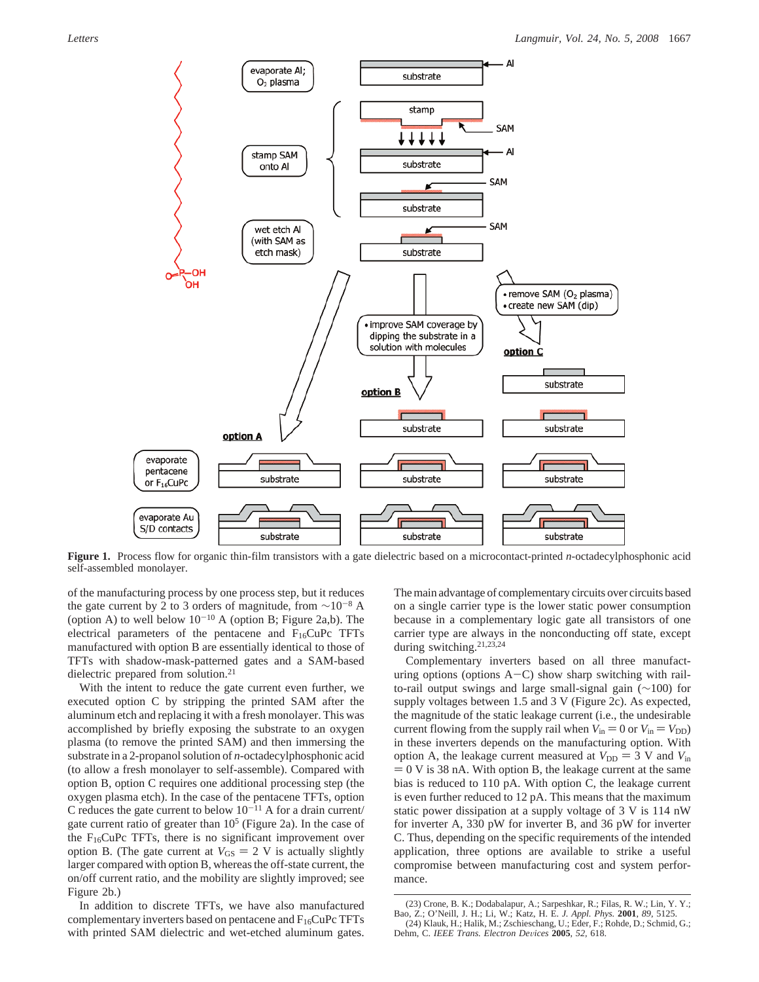

**Figure 1.** Process flow for organic thin-film transistors with a gate dielectric based on a microcontact-printed *n*-octadecylphosphonic acid self-assembled monolayer.

of the manufacturing process by one process step, but it reduces the gate current by 2 to 3 orders of magnitude, from ∼10-<sup>8</sup> A (option A) to well below  $10^{-10}$  A (option B; Figure 2a,b). The electrical parameters of the pentacene and  $F_{16}CuPc$  TFTs manufactured with option B are essentially identical to those of TFTs with shadow-mask-patterned gates and a SAM-based dielectric prepared from solution.<sup>21</sup>

With the intent to reduce the gate current even further, we executed option C by stripping the printed SAM after the aluminum etch and replacing it with a fresh monolayer. This was accomplished by briefly exposing the substrate to an oxygen plasma (to remove the printed SAM) and then immersing the substrate in a 2-propanol solution of *n*-octadecylphosphonic acid (to allow a fresh monolayer to self-assemble). Compared with option B, option C requires one additional processing step (the oxygen plasma etch). In the case of the pentacene TFTs, option C reduces the gate current to below  $10^{-11}$  A for a drain current/ gate current ratio of greater than  $10<sup>5</sup>$  (Figure 2a). In the case of the  $F_{16}CuPc$  TFTs, there is no significant improvement over option B. (The gate current at  $V_{GS} = 2$  V is actually slightly larger compared with option B, whereas the off-state current, the on/off current ratio, and the mobility are slightly improved; see Figure 2b.)

In addition to discrete TFTs, we have also manufactured complementary inverters based on pentacene and  $F_{16}CuPc$  TFTs with printed SAM dielectric and wet-etched aluminum gates.

The main advantage of complementary circuits over circuits based on a single carrier type is the lower static power consumption because in a complementary logic gate all transistors of one carrier type are always in the nonconducting off state, except during switching.21,23,24

Complementary inverters based on all three manufacturing options (options A-C) show sharp switching with railto-rail output swings and large small-signal gain (∼100) for supply voltages between 1.5 and 3 V (Figure 2c). As expected, the magnitude of the static leakage current (i.e., the undesirable current flowing from the supply rail when  $V_{in} = 0$  or  $V_{in} = V_{DD}$ ) in these inverters depends on the manufacturing option. With option A, the leakage current measured at  $V_{DD} = 3$  V and  $V_{in}$  $= 0$  V is 38 nA. With option B, the leakage current at the same bias is reduced to 110 pA. With option C, the leakage current is even further reduced to 12 pA. This means that the maximum static power dissipation at a supply voltage of 3 V is 114 nW for inverter A, 330 pW for inverter B, and 36 pW for inverter C. Thus, depending on the specific requirements of the intended application, three options are available to strike a useful compromise between manufacturing cost and system performance.

<sup>(23)</sup> Crone, B. K.; Dodabalapur, A.; Sarpeshkar, R.; Filas, R. W.; Lin, Y. Y.; Bao, Z.; O'Neill, J. H.; Li, W.; Katz, H. E. *J. Appl. Phys.* **2001**, *89*, 5125.

<sup>(24)</sup> Klauk, H.; Halik, M.; Zschieschang, U.; Eder, F.; Rohde, D.; Schmid, G.; Dehm, C. *IEEE Trans. Electron De*V*ices* **<sup>2005</sup>**, *<sup>52</sup>*, 618.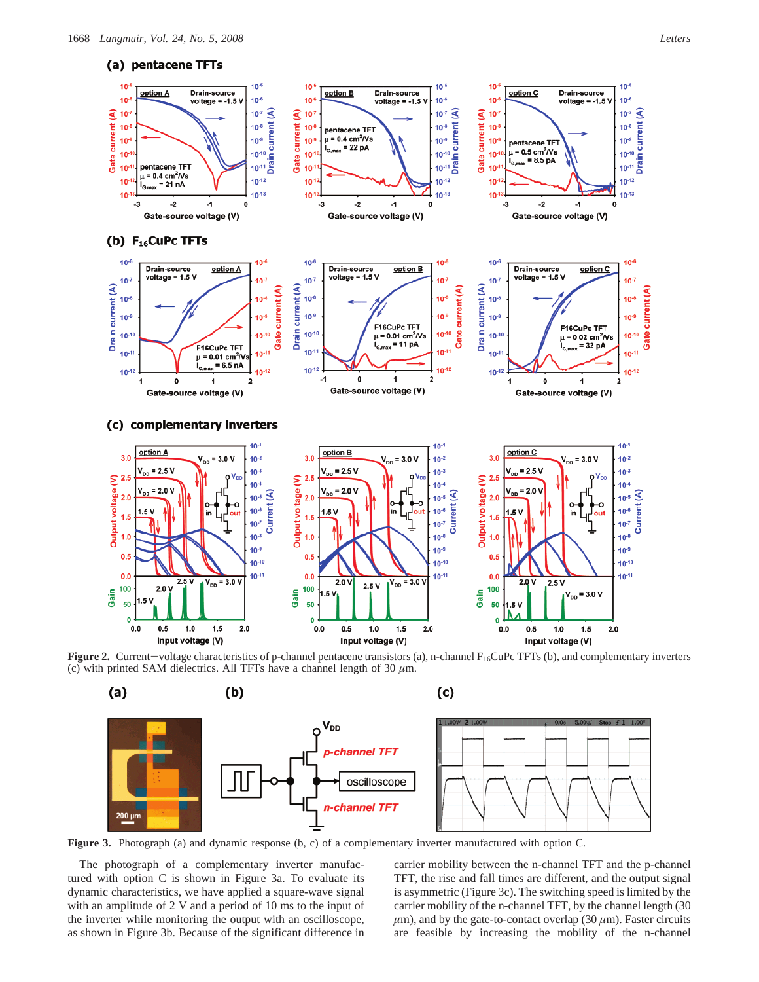

**Figure 2.** Current-voltage characteristics of p-channel pentacene transistors (a), n-channel F<sub>16</sub>CuPc TFTs (b), and complementary inverters (c) with printed SAM dielectrics. All TFTs have a channel length of 30  $\mu$ m.



**Figure 3.** Photograph (a) and dynamic response (b, c) of a complementary inverter manufactured with option C.

The photograph of a complementary inverter manufactured with option C is shown in Figure 3a. To evaluate its dynamic characteristics, we have applied a square-wave signal with an amplitude of 2 V and a period of 10 ms to the input of the inverter while monitoring the output with an oscilloscope, as shown in Figure 3b. Because of the significant difference in

carrier mobility between the n-channel TFT and the p-channel TFT, the rise and fall times are different, and the output signal is asymmetric (Figure 3c). The switching speed is limited by the carrier mobility of the n-channel TFT, by the channel length (30  $\mu$ m), and by the gate-to-contact overlap (30  $\mu$ m). Faster circuits are feasible by increasing the mobility of the n-channel